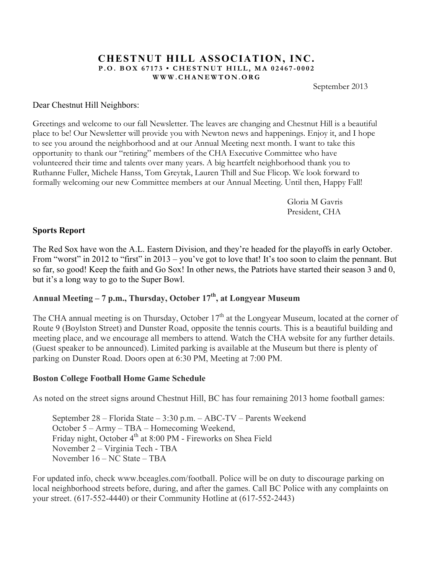#### **CHESTNUT HILL ASSOCIATION, INC. P.O. BOX 67173 • CHESTNUT HILL, MA 02467 - 0002 WWW.CHANEWTON.ORG**

September 2013

#### Dear Chestnut Hill Neighbors:

Greetings and welcome to our fall Newsletter. The leaves are changing and Chestnut Hill is a beautiful place to be! Our Newsletter will provide you with Newton news and happenings. Enjoy it, and I hope to see you around the neighborhood and at our Annual Meeting next month. I want to take this opportunity to thank our "retiring" members of the CHA Executive Committee who have volunteered their time and talents over many years. A big heartfelt neighborhood thank you to Ruthanne Fuller, Michele Hanss, Tom Greytak, Lauren Thill and Sue Flicop. We look forward to formally welcoming our new Committee members at our Annual Meeting. Until then, Happy Fall!

> Gloria M Gavris President, CHA

#### **Sports Report**

The Red Sox have won the A.L. Eastern Division, and they're headed for the playoffs in early October. From "worst" in 2012 to "first" in 2013 – you've got to love that! It's too soon to claim the pennant. But so far, so good! Keep the faith and Go Sox! In other news, the Patriots have started their season 3 and 0, but it's a long way to go to the Super Bowl.

# **Annual Meeting – 7 p.m., Thursday, October 17th, at Longyear Museum**

The CHA annual meeting is on Thursday, October  $17<sup>th</sup>$  at the Longyear Museum, located at the corner of Route 9 (Boylston Street) and Dunster Road, opposite the tennis courts. This is a beautiful building and meeting place, and we encourage all members to attend. Watch the CHA website for any further details. (Guest speaker to be announced). Limited parking is available at the Museum but there is plenty of parking on Dunster Road. Doors open at 6:30 PM, Meeting at 7:00 PM.

#### **Boston College Football Home Game Schedule**

As noted on the street signs around Chestnut Hill, BC has four remaining 2013 home football games:

September 28 – Florida State – 3:30 p.m. – ABC-TV – Parents Weekend October 5 – Army – TBA – Homecoming Weekend, Friday night, October 4<sup>th</sup> at 8:00 PM - Fireworks on Shea Field November 2 – Virginia Tech - TBA November 16 – NC State – TBA

For updated info, check www.bceagles.com/football. Police will be on duty to discourage parking on local neighborhood streets before, during, and after the games. Call BC Police with any complaints on your street. (617-552-4440) or their Community Hotline at (617-552-2443)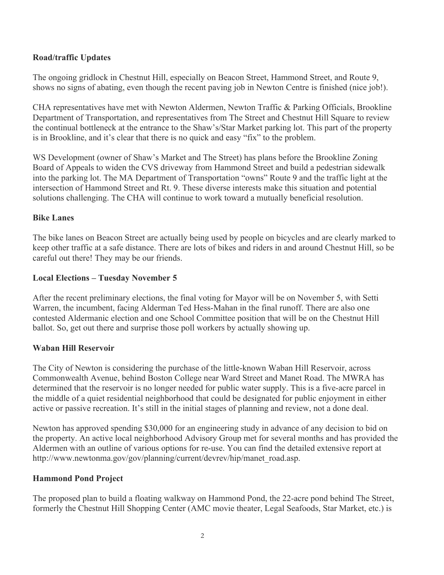## **Road/traffic Updates**

The ongoing gridlock in Chestnut Hill, especially on Beacon Street, Hammond Street, and Route 9, shows no signs of abating, even though the recent paving job in Newton Centre is finished (nice job!).

CHA representatives have met with Newton Aldermen, Newton Traffic & Parking Officials, Brookline Department of Transportation, and representatives from The Street and Chestnut Hill Square to review the continual bottleneck at the entrance to the Shaw's/Star Market parking lot. This part of the property is in Brookline, and it's clear that there is no quick and easy "fix" to the problem.

WS Development (owner of Shaw's Market and The Street) has plans before the Brookline Zoning Board of Appeals to widen the CVS driveway from Hammond Street and build a pedestrian sidewalk into the parking lot. The MA Department of Transportation "owns" Route 9 and the traffic light at the intersection of Hammond Street and Rt. 9. These diverse interests make this situation and potential solutions challenging. The CHA will continue to work toward a mutually beneficial resolution.

### **Bike Lanes**

The bike lanes on Beacon Street are actually being used by people on bicycles and are clearly marked to keep other traffic at a safe distance. There are lots of bikes and riders in and around Chestnut Hill, so be careful out there! They may be our friends.

### **Local Elections – Tuesday November 5**

After the recent preliminary elections, the final voting for Mayor will be on November 5, with Setti Warren, the incumbent, facing Alderman Ted Hess-Mahan in the final runoff. There are also one contested Aldermanic election and one School Committee position that will be on the Chestnut Hill ballot. So, get out there and surprise those poll workers by actually showing up.

### **Waban Hill Reservoir**

The City of Newton is considering the purchase of the little-known Waban Hill Reservoir, across Commonwealth Avenue, behind Boston College near Ward Street and Manet Road. The MWRA has determined that the reservoir is no longer needed for public water supply. This is a five-acre parcel in the middle of a quiet residential neighborhood that could be designated for public enjoyment in either active or passive recreation. It's still in the initial stages of planning and review, not a done deal.

Newton has approved spending \$30,000 for an engineering study in advance of any decision to bid on the property. An active local neighborhood Advisory Group met for several months and has provided the Aldermen with an outline of various options for re-use. You can find the detailed extensive report at http://www.newtonma.gov/gov/planning/current/devrev/hip/manet\_road.asp.

### **Hammond Pond Project**

The proposed plan to build a floating walkway on Hammond Pond, the 22-acre pond behind The Street, formerly the Chestnut Hill Shopping Center (AMC movie theater, Legal Seafoods, Star Market, etc.) is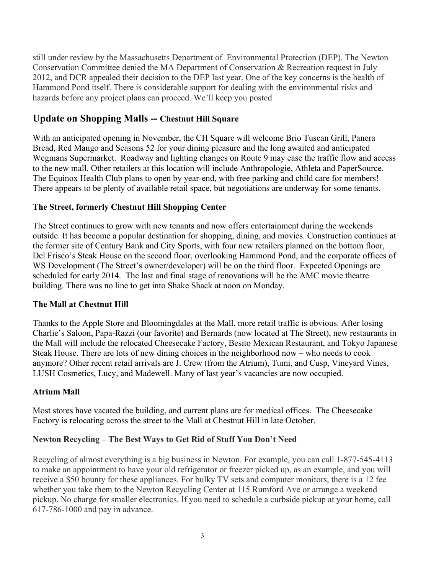still under review by the Massachusetts Department of Environmental Protection (DEP). The Newton Conservation Committee denied the MA Department of Conservation & Recreation request in July 2012, and DCR appealed their decision to the DEP last year. One of the key concerns is the health of Hammond Pond itself. There is considerable support for dealing with the environmental risks and hazards before any project plans can proceed. We'll keep you posted

# **Update on Shopping Malls -- Chestnut Hill Square**

With an anticipated opening in November, the CH Square will welcome Brio Tuscan Grill, Panera Bread, Red Mango and Seasons 52 for your dining pleasure and the long awaited and anticipated Wegmans Supermarket. Roadway and lighting changes on Route 9 may ease the traffic flow and access to the new mall. Other retailers at this location will include Anthropologie, Athleta and PaperSource. The Equinox Health Club plans to open by year-end, with free parking and child care for members! There appears to be plenty of available retail space, but negotiations are underway for some tenants.

# **The Street, formerly Chestnut Hill Shopping Center**

The Street continues to grow with new tenants and now offers entertainment during the weekends outside. It has become a popular destination for shopping, dining, and movies. Construction continues at the former site of Century Bank and City Sports, with four new retailers planned on the bottom floor, Del Frisco's Steak House on the second floor, overlooking Hammond Pond, and the corporate offices of WS Development (The Street's owner/developer) will be on the third floor. Expected Openings are scheduled for early 2014. The last and final stage of renovations will be the AMC movie theatre building. There was no line to get into Shake Shack at noon on Monday.

### **The Mall at Chestnut Hill**

Thanks to the Apple Store and Bloomingdales at the Mall, more retail traffic is obvious. After losing Charlie's Saloon, Papa-Razzi (our favorite) and Bernards (now located at The Street), new restaurants in the Mall will include the relocated Cheesecake Factory, Besito Mexican Restaurant, and Tokyo Japanese Steak House. There are lots of new dining choices in the neighborhood now – who needs to cook anymore? Other recent retail arrivals are J. Crew (from the Atrium), Tumi, and Cusp, Vineyard Vines, LUSH Cosmetics, Lucy, and Madewell. Many of last year's vacancies are now occupied.

### **Atrium Mall**

Most stores have vacated the building, and current plans are for medical offices. The Cheesecake Factory is relocating across the street to the Mall at Chestnut Hill in late October.

### **Newton Recycling – The Best Ways to Get Rid of Stuff You Don't Need**

Recycling of almost everything is a big business in Newton. For example, you can call 1-877-545-4113 to make an appointment to have your old refrigerator or freezer picked up, as an example, and you will receive a \$50 bounty for these appliances. For bulky TV sets and computer monitors, there is a 12 fee whether you take them to the Newton Recycling Center at 115 Rumford Ave or arrange a weekend pickup. No charge for smaller electronics. If you need to schedule a curbside pickup at your home, call 617-786-1000 and pay in advance.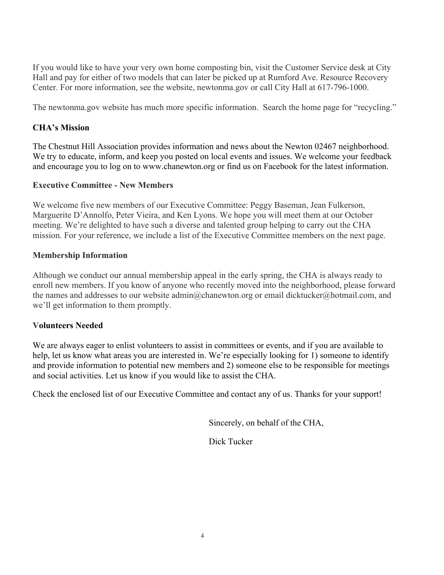If you would like to have your very own home composting bin, visit the Customer Service desk at City Hall and pay for either of two models that can later be picked up at Rumford Ave. Resource Recovery Center. For more information, see the website, newtonma.gov or call City Hall at 617-796-1000.

The newtonma.gov website has much more specific information. Search the home page for "recycling."

#### **CHA's Mission**

The Chestnut Hill Association provides information and news about the Newton 02467 neighborhood. We try to educate, inform, and keep you posted on local events and issues. We welcome your feedback and encourage you to log on to www.chanewton.org or find us on Facebook for the latest information.

#### **Executive Committee - New Members**

We welcome five new members of our Executive Committee: Peggy Baseman, Jean Fulkerson, Marguerite D'Annolfo, Peter Vieira, and Ken Lyons. We hope you will meet them at our October meeting. We're delighted to have such a diverse and talented group helping to carry out the CHA mission. For your reference, we include a list of the Executive Committee members on the next page.

#### **Membership Information**

Although we conduct our annual membership appeal in the early spring, the CHA is always ready to enroll new members. If you know of anyone who recently moved into the neighborhood, please forward the names and addresses to our website admin@chanewton.org or email dicktucker@hotmail.com, and we'll get information to them promptly.

### **Volunteers Needed**

We are always eager to enlist volunteers to assist in committees or events, and if you are available to help, let us know what areas you are interested in. We're especially looking for 1) someone to identify and provide information to potential new members and 2) someone else to be responsible for meetings and social activities. Let us know if you would like to assist the CHA.

Check the enclosed list of our Executive Committee and contact any of us. Thanks for your support!

Sincerely, on behalf of the CHA,

Dick Tucker